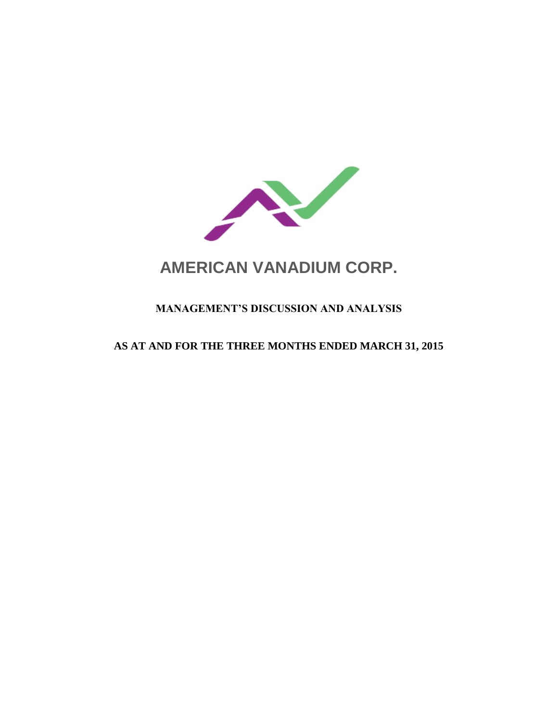

# **AMERICAN VANADIUM CORP.**

# **MANAGEMENT'S DISCUSSION AND ANALYSIS**

## **AS AT AND FOR THE THREE MONTHS ENDED MARCH 31, 2015**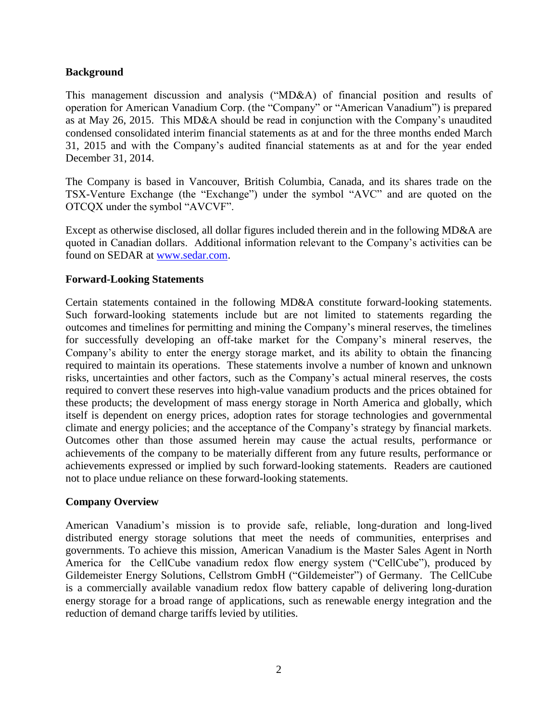#### **Background**

This management discussion and analysis ("MD&A) of financial position and results of operation for American Vanadium Corp. (the "Company" or "American Vanadium") is prepared as at May 26, 2015. This MD&A should be read in conjunction with the Company's unaudited condensed consolidated interim financial statements as at and for the three months ended March 31, 2015 and with the Company's audited financial statements as at and for the year ended December 31, 2014.

The Company is based in Vancouver, British Columbia, Canada, and its shares trade on the TSX-Venture Exchange (the "Exchange") under the symbol "AVC" and are quoted on the OTCQX under the symbol "AVCVF".

Except as otherwise disclosed, all dollar figures included therein and in the following MD&A are quoted in Canadian dollars. Additional information relevant to the Company's activities can be found on SEDAR at [www.sedar.com.](http://www.sedar.com/)

#### **Forward-Looking Statements**

Certain statements contained in the following MD&A constitute forward-looking statements. Such forward-looking statements include but are not limited to statements regarding the outcomes and timelines for permitting and mining the Company's mineral reserves, the timelines for successfully developing an off-take market for the Company's mineral reserves, the Company's ability to enter the energy storage market, and its ability to obtain the financing required to maintain its operations. These statements involve a number of known and unknown risks, uncertainties and other factors, such as the Company's actual mineral reserves, the costs required to convert these reserves into high-value vanadium products and the prices obtained for these products; the development of mass energy storage in North America and globally, which itself is dependent on energy prices, adoption rates for storage technologies and governmental climate and energy policies; and the acceptance of the Company's strategy by financial markets. Outcomes other than those assumed herein may cause the actual results, performance or achievements of the company to be materially different from any future results, performance or achievements expressed or implied by such forward-looking statements. Readers are cautioned not to place undue reliance on these forward-looking statements.

#### **Company Overview**

American Vanadium's mission is to provide safe, reliable, long-duration and long-lived distributed energy storage solutions that meet the needs of communities, enterprises and governments. To achieve this mission, American Vanadium is the Master Sales Agent in North America for the CellCube vanadium redox flow energy system ("CellCube"), produced by Gildemeister Energy Solutions, Cellstrom GmbH ("Gildemeister") of Germany. The CellCube is a commercially available vanadium redox flow battery capable of delivering long-duration energy storage for a broad range of applications, such as renewable energy integration and the reduction of demand charge tariffs levied by utilities.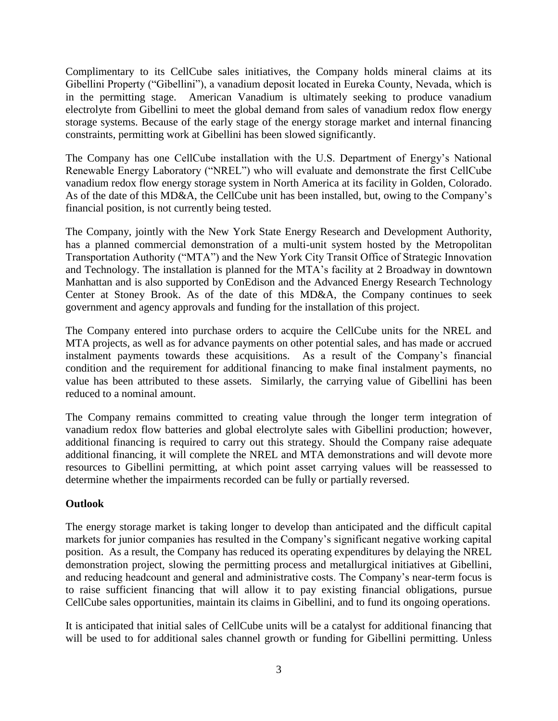Complimentary to its CellCube sales initiatives, the Company holds mineral claims at its Gibellini Property ("Gibellini"), a vanadium deposit located in Eureka County, Nevada, which is in the permitting stage. American Vanadium is ultimately seeking to produce vanadium electrolyte from Gibellini to meet the global demand from sales of vanadium redox flow energy storage systems. Because of the early stage of the energy storage market and internal financing constraints, permitting work at Gibellini has been slowed significantly.

The Company has one CellCube installation with the U.S. Department of Energy's National Renewable Energy Laboratory ("NREL") who will evaluate and demonstrate the first CellCube vanadium redox flow energy storage system in North America at its facility in Golden, Colorado. As of the date of this MD&A, the CellCube unit has been installed, but, owing to the Company's financial position, is not currently being tested.

The Company, jointly with the New York State Energy Research and Development Authority, has a planned commercial demonstration of a multi-unit system hosted by the Metropolitan Transportation Authority ("MTA") and the New York City Transit Office of Strategic Innovation and Technology. The installation is planned for the MTA's facility at 2 Broadway in downtown Manhattan and is also supported by ConEdison and the Advanced Energy Research Technology Center at Stoney Brook. As of the date of this MD&A, the Company continues to seek government and agency approvals and funding for the installation of this project.

The Company entered into purchase orders to acquire the CellCube units for the NREL and MTA projects, as well as for advance payments on other potential sales, and has made or accrued instalment payments towards these acquisitions. As a result of the Company's financial condition and the requirement for additional financing to make final instalment payments, no value has been attributed to these assets. Similarly, the carrying value of Gibellini has been reduced to a nominal amount.

The Company remains committed to creating value through the longer term integration of vanadium redox flow batteries and global electrolyte sales with Gibellini production; however, additional financing is required to carry out this strategy. Should the Company raise adequate additional financing, it will complete the NREL and MTA demonstrations and will devote more resources to Gibellini permitting, at which point asset carrying values will be reassessed to determine whether the impairments recorded can be fully or partially reversed.

## **Outlook**

The energy storage market is taking longer to develop than anticipated and the difficult capital markets for junior companies has resulted in the Company's significant negative working capital position. As a result, the Company has reduced its operating expenditures by delaying the NREL demonstration project, slowing the permitting process and metallurgical initiatives at Gibellini, and reducing headcount and general and administrative costs. The Company's near-term focus is to raise sufficient financing that will allow it to pay existing financial obligations, pursue CellCube sales opportunities, maintain its claims in Gibellini, and to fund its ongoing operations.

It is anticipated that initial sales of CellCube units will be a catalyst for additional financing that will be used to for additional sales channel growth or funding for Gibellini permitting. Unless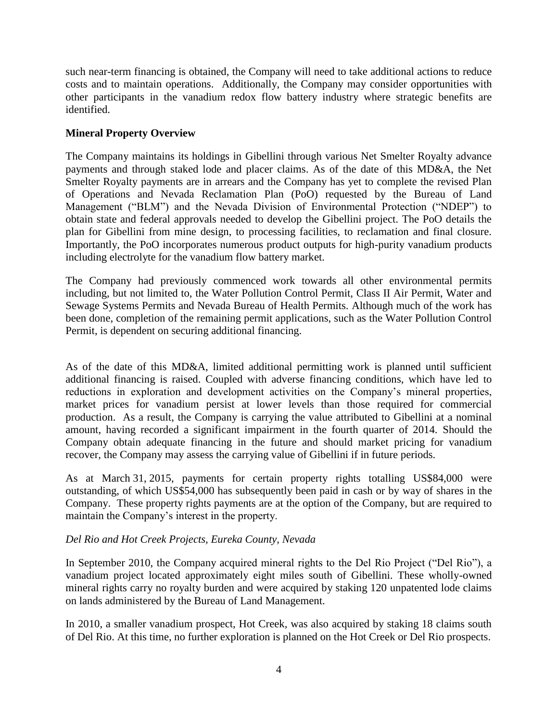such near-term financing is obtained, the Company will need to take additional actions to reduce costs and to maintain operations. Additionally, the Company may consider opportunities with other participants in the vanadium redox flow battery industry where strategic benefits are identified.

#### **Mineral Property Overview**

The Company maintains its holdings in Gibellini through various Net Smelter Royalty advance payments and through staked lode and placer claims. As of the date of this MD&A, the Net Smelter Royalty payments are in arrears and the Company has yet to complete the revised Plan of Operations and Nevada Reclamation Plan (PoO) requested by the Bureau of Land Management ("BLM") and the Nevada Division of Environmental Protection ("NDEP") to obtain state and federal approvals needed to develop the Gibellini project. The PoO details the plan for Gibellini from mine design, to processing facilities, to reclamation and final closure. Importantly, the PoO incorporates numerous product outputs for high-purity vanadium products including electrolyte for the vanadium flow battery market.

The Company had previously commenced work towards all other environmental permits including, but not limited to, the Water Pollution Control Permit, Class II Air Permit, Water and Sewage Systems Permits and Nevada Bureau of Health Permits. Although much of the work has been done, completion of the remaining permit applications, such as the Water Pollution Control Permit, is dependent on securing additional financing.

As of the date of this MD&A, limited additional permitting work is planned until sufficient additional financing is raised. Coupled with adverse financing conditions, which have led to reductions in exploration and development activities on the Company's mineral properties, market prices for vanadium persist at lower levels than those required for commercial production. As a result, the Company is carrying the value attributed to Gibellini at a nominal amount, having recorded a significant impairment in the fourth quarter of 2014. Should the Company obtain adequate financing in the future and should market pricing for vanadium recover, the Company may assess the carrying value of Gibellini if in future periods.

As at March 31, 2015, payments for certain property rights totalling US\$84,000 were outstanding, of which US\$54,000 has subsequently been paid in cash or by way of shares in the Company. These property rights payments are at the option of the Company, but are required to maintain the Company's interest in the property.

## *Del Rio and Hot Creek Projects, Eureka County, Nevada*

In September 2010, the Company acquired mineral rights to the Del Rio Project ("Del Rio"), a vanadium project located approximately eight miles south of Gibellini. These wholly-owned mineral rights carry no royalty burden and were acquired by staking 120 unpatented lode claims on lands administered by the Bureau of Land Management.

In 2010, a smaller vanadium prospect, Hot Creek, was also acquired by staking 18 claims south of Del Rio. At this time, no further exploration is planned on the Hot Creek or Del Rio prospects.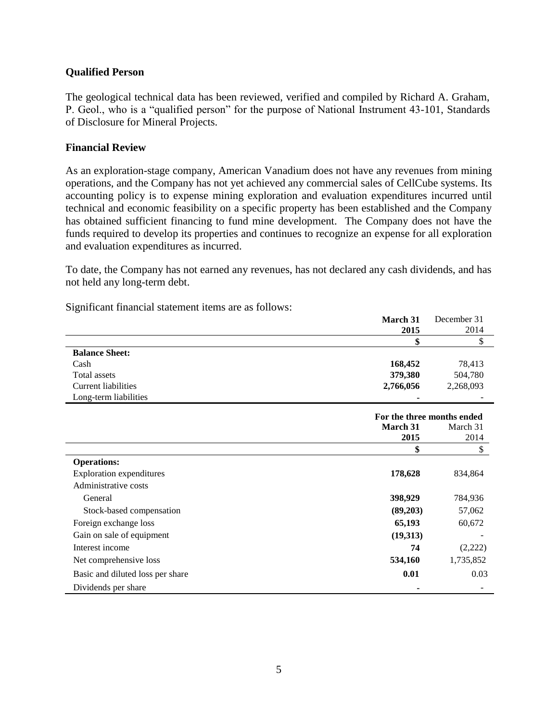#### **Qualified Person**

The geological technical data has been reviewed, verified and compiled by Richard A. Graham, P. Geol., who is a "qualified person" for the purpose of National Instrument 43-101, Standards of Disclosure for Mineral Projects.

#### **Financial Review**

As an exploration-stage company, American Vanadium does not have any revenues from mining operations, and the Company has not yet achieved any commercial sales of CellCube systems. Its accounting policy is to expense mining exploration and evaluation expenditures incurred until technical and economic feasibility on a specific property has been established and the Company has obtained sufficient financing to fund mine development. The Company does not have the funds required to develop its properties and continues to recognize an expense for all exploration and evaluation expenditures as incurred.

To date, the Company has not earned any revenues, has not declared any cash dividends, and has not held any long-term debt.

**March 31**

December 31

Significant financial statement items are as follows:

|                                  | 2015                       | 2014      |
|----------------------------------|----------------------------|-----------|
|                                  | \$                         | \$        |
| <b>Balance Sheet:</b>            |                            |           |
| Cash                             | 168,452                    | 78,413    |
| Total assets                     | 379,380                    | 504,780   |
| <b>Current liabilities</b>       | 2,766,056                  | 2,268,093 |
| Long-term liabilities            |                            |           |
|                                  | For the three months ended |           |
|                                  | March 31                   | March 31  |
|                                  | 2015                       | 2014      |
|                                  | \$                         | \$        |
| <b>Operations:</b>               |                            |           |
| <b>Exploration expenditures</b>  | 178,628                    | 834,864   |
| Administrative costs             |                            |           |
| General                          | 398,929                    | 784,936   |
| Stock-based compensation         | (89,203)                   | 57,062    |
| Foreign exchange loss            | 65,193                     | 60,672    |
| Gain on sale of equipment        | (19,313)                   |           |
| Interest income                  | 74                         | (2,222)   |
| Net comprehensive loss           | 534,160                    | 1,735,852 |
| Basic and diluted loss per share | 0.01                       | 0.03      |
| Dividends per share              | ٠                          |           |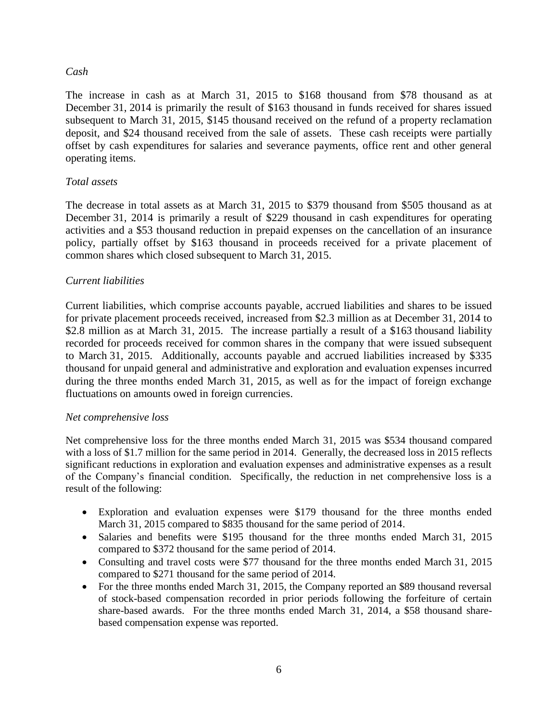#### *Cash*

The increase in cash as at March 31, 2015 to \$168 thousand from \$78 thousand as at December 31, 2014 is primarily the result of \$163 thousand in funds received for shares issued subsequent to March 31, 2015, \$145 thousand received on the refund of a property reclamation deposit, and \$24 thousand received from the sale of assets. These cash receipts were partially offset by cash expenditures for salaries and severance payments, office rent and other general operating items.

#### *Total assets*

The decrease in total assets as at March 31, 2015 to \$379 thousand from \$505 thousand as at December 31, 2014 is primarily a result of \$229 thousand in cash expenditures for operating activities and a \$53 thousand reduction in prepaid expenses on the cancellation of an insurance policy, partially offset by \$163 thousand in proceeds received for a private placement of common shares which closed subsequent to March 31, 2015.

#### *Current liabilities*

Current liabilities, which comprise accounts payable, accrued liabilities and shares to be issued for private placement proceeds received, increased from \$2.3 million as at December 31, 2014 to \$2.8 million as at March 31, 2015. The increase partially a result of a \$163 thousand liability recorded for proceeds received for common shares in the company that were issued subsequent to March 31, 2015. Additionally, accounts payable and accrued liabilities increased by \$335 thousand for unpaid general and administrative and exploration and evaluation expenses incurred during the three months ended March 31, 2015, as well as for the impact of foreign exchange fluctuations on amounts owed in foreign currencies.

#### *Net comprehensive loss*

Net comprehensive loss for the three months ended March 31, 2015 was \$534 thousand compared with a loss of \$1.7 million for the same period in 2014. Generally, the decreased loss in 2015 reflects significant reductions in exploration and evaluation expenses and administrative expenses as a result of the Company's financial condition. Specifically, the reduction in net comprehensive loss is a result of the following:

- Exploration and evaluation expenses were \$179 thousand for the three months ended March 31, 2015 compared to \$835 thousand for the same period of 2014.
- Salaries and benefits were \$195 thousand for the three months ended March 31, 2015 compared to \$372 thousand for the same period of 2014.
- Consulting and travel costs were \$77 thousand for the three months ended March 31, 2015 compared to \$271 thousand for the same period of 2014.
- For the three months ended March 31, 2015, the Company reported an \$89 thousand reversal of stock-based compensation recorded in prior periods following the forfeiture of certain share-based awards. For the three months ended March 31, 2014, a \$58 thousand sharebased compensation expense was reported.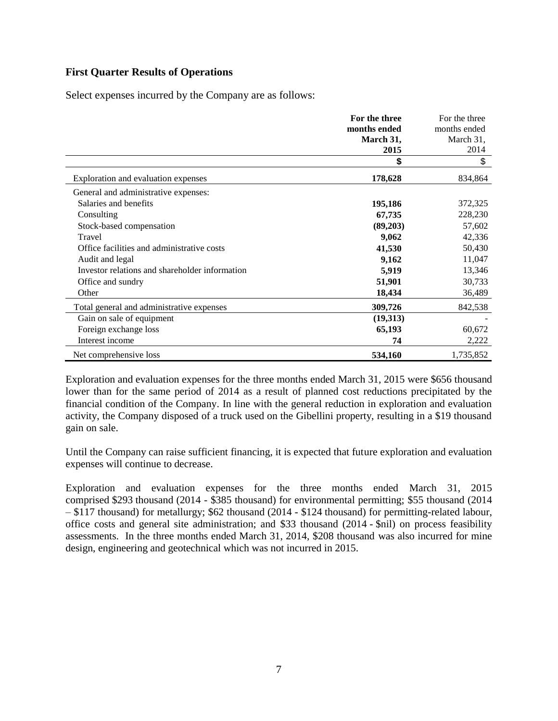#### **First Quarter Results of Operations**

Select expenses incurred by the Company are as follows:

|                                                | For the three | For the three |
|------------------------------------------------|---------------|---------------|
|                                                | months ended  | months ended  |
|                                                | March 31,     | March 31,     |
|                                                | 2015          | 2014          |
|                                                | \$            | \$            |
| Exploration and evaluation expenses            | 178,628       | 834,864       |
| General and administrative expenses:           |               |               |
| Salaries and benefits                          | 195,186       | 372,325       |
| Consulting                                     | 67,735        | 228,230       |
| Stock-based compensation                       | (89,203)      | 57,602        |
| Travel                                         | 9,062         | 42,336        |
| Office facilities and administrative costs     | 41,530        | 50,430        |
| Audit and legal                                | 9,162         | 11,047        |
| Investor relations and shareholder information | 5,919         | 13,346        |
| Office and sundry                              | 51,901        | 30,733        |
| Other                                          | 18,434        | 36,489        |
| Total general and administrative expenses      | 309,726       | 842,538       |
| Gain on sale of equipment                      | (19,313)      |               |
| Foreign exchange loss                          | 65,193        | 60,672        |
| Interest income                                | 74            | 2,222         |
| Net comprehensive loss                         | 534,160       | 1,735,852     |

Exploration and evaluation expenses for the three months ended March 31, 2015 were \$656 thousand lower than for the same period of 2014 as a result of planned cost reductions precipitated by the financial condition of the Company. In line with the general reduction in exploration and evaluation activity, the Company disposed of a truck used on the Gibellini property, resulting in a \$19 thousand gain on sale.

Until the Company can raise sufficient financing, it is expected that future exploration and evaluation expenses will continue to decrease.

Exploration and evaluation expenses for the three months ended March 31, 2015 comprised \$293 thousand (2014 - \$385 thousand) for environmental permitting; \$55 thousand (2014 – \$117 thousand) for metallurgy; \$62 thousand (2014 - \$124 thousand) for permitting-related labour, office costs and general site administration; and \$33 thousand (2014 - \$nil) on process feasibility assessments. In the three months ended March 31, 2014, \$208 thousand was also incurred for mine design, engineering and geotechnical which was not incurred in 2015.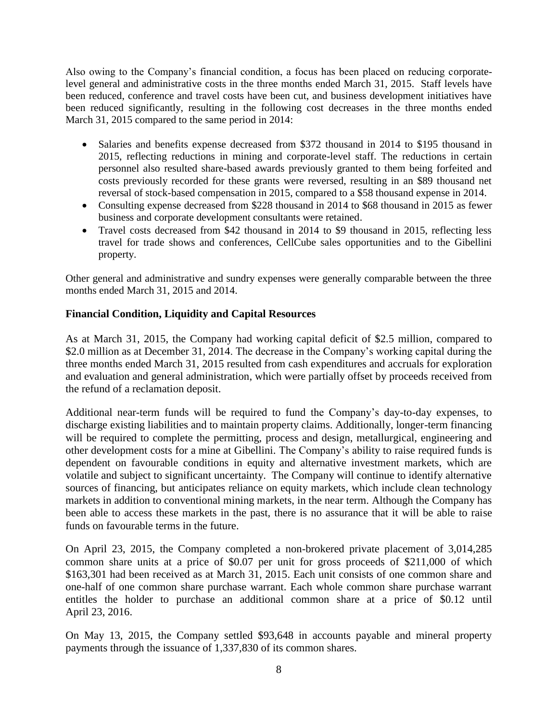Also owing to the Company's financial condition, a focus has been placed on reducing corporatelevel general and administrative costs in the three months ended March 31, 2015. Staff levels have been reduced, conference and travel costs have been cut, and business development initiatives have been reduced significantly, resulting in the following cost decreases in the three months ended March 31, 2015 compared to the same period in 2014:

- Salaries and benefits expense decreased from \$372 thousand in 2014 to \$195 thousand in 2015, reflecting reductions in mining and corporate-level staff. The reductions in certain personnel also resulted share-based awards previously granted to them being forfeited and costs previously recorded for these grants were reversed, resulting in an \$89 thousand net reversal of stock-based compensation in 2015, compared to a \$58 thousand expense in 2014.
- Consulting expense decreased from \$228 thousand in 2014 to \$68 thousand in 2015 as fewer business and corporate development consultants were retained.
- Travel costs decreased from \$42 thousand in 2014 to \$9 thousand in 2015, reflecting less travel for trade shows and conferences, CellCube sales opportunities and to the Gibellini property.

Other general and administrative and sundry expenses were generally comparable between the three months ended March 31, 2015 and 2014.

## **Financial Condition, Liquidity and Capital Resources**

As at March 31, 2015, the Company had working capital deficit of \$2.5 million, compared to \$2.0 million as at December 31, 2014. The decrease in the Company's working capital during the three months ended March 31, 2015 resulted from cash expenditures and accruals for exploration and evaluation and general administration, which were partially offset by proceeds received from the refund of a reclamation deposit.

Additional near-term funds will be required to fund the Company's day-to-day expenses, to discharge existing liabilities and to maintain property claims. Additionally, longer-term financing will be required to complete the permitting, process and design, metallurgical, engineering and other development costs for a mine at Gibellini. The Company's ability to raise required funds is dependent on favourable conditions in equity and alternative investment markets, which are volatile and subject to significant uncertainty. The Company will continue to identify alternative sources of financing, but anticipates reliance on equity markets, which include clean technology markets in addition to conventional mining markets, in the near term. Although the Company has been able to access these markets in the past, there is no assurance that it will be able to raise funds on favourable terms in the future.

On April 23, 2015, the Company completed a non-brokered private placement of 3,014,285 common share units at a price of \$0.07 per unit for gross proceeds of \$211,000 of which \$163,301 had been received as at March 31, 2015. Each unit consists of one common share and one-half of one common share purchase warrant. Each whole common share purchase warrant entitles the holder to purchase an additional common share at a price of \$0.12 until April 23, 2016.

On May 13, 2015, the Company settled \$93,648 in accounts payable and mineral property payments through the issuance of 1,337,830 of its common shares.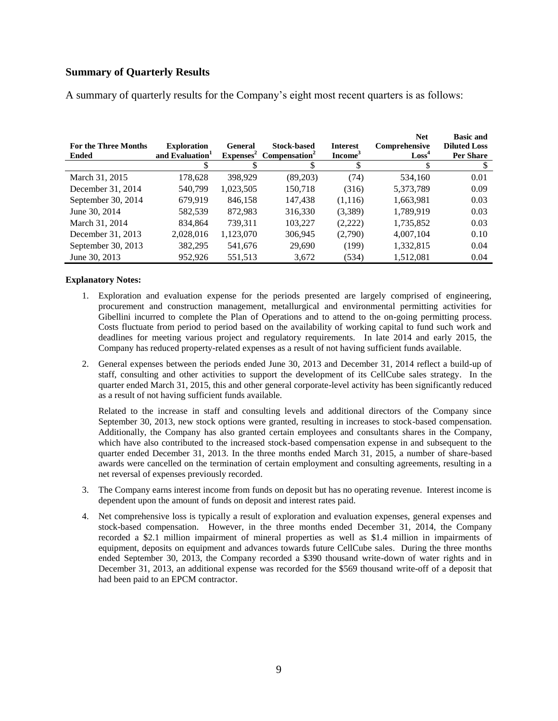#### **Summary of Quarterly Results**

| <b>For the Three Months</b><br><b>Ended</b> | <b>Exploration</b><br>and Evaluation <sup>1</sup> | <b>General</b><br>$Expenses^2$ | <b>Stock-based</b><br>Compensation <sup>2</sup> | <b>Interest</b><br>Income <sup>3</sup> | <b>Net</b><br>Comprehensive<br>Loss <sup>4</sup> | <b>Basic and</b><br><b>Diluted Loss</b><br><b>Per Share</b> |
|---------------------------------------------|---------------------------------------------------|--------------------------------|-------------------------------------------------|----------------------------------------|--------------------------------------------------|-------------------------------------------------------------|
| March 31, 2015                              | 178,628                                           | 398.929                        | (89,203)                                        | (74)                                   | 534,160                                          | 0.01                                                        |
| December 31, 2014                           | 540.799                                           | 1,023,505                      | 150.718                                         | (316)                                  | 5,373,789                                        | 0.09                                                        |
| September 30, 2014                          | 679,919                                           | 846,158                        | 147,438                                         | (1,116)                                | 1,663,981                                        | 0.03                                                        |
| June 30, 2014                               | 582,539                                           | 872,983                        | 316,330                                         | (3,389)                                | 1,789,919                                        | 0.03                                                        |
| March 31, 2014                              | 834,864                                           | 739,311                        | 103,227                                         | (2,222)                                | 1,735,852                                        | 0.03                                                        |
| December 31, 2013                           | 2,028,016                                         | 1,123,070                      | 306,945                                         | (2,790)                                | 4,007,104                                        | 0.10                                                        |
| September 30, 2013                          | 382,295                                           | 541,676                        | 29,690                                          | (199)                                  | 1,332,815                                        | 0.04                                                        |
| June 30, 2013                               | 952,926                                           | 551,513                        | 3,672                                           | (534)                                  | 1,512,081                                        | 0.04                                                        |

A summary of quarterly results for the Company's eight most recent quarters is as follows:

#### **Explanatory Notes:**

- 1. Exploration and evaluation expense for the periods presented are largely comprised of engineering, procurement and construction management, metallurgical and environmental permitting activities for Gibellini incurred to complete the Plan of Operations and to attend to the on-going permitting process. Costs fluctuate from period to period based on the availability of working capital to fund such work and deadlines for meeting various project and regulatory requirements. In late 2014 and early 2015, the Company has reduced property-related expenses as a result of not having sufficient funds available.
- 2. General expenses between the periods ended June 30, 2013 and December 31, 2014 reflect a build-up of staff, consulting and other activities to support the development of its CellCube sales strategy. In the quarter ended March 31, 2015, this and other general corporate-level activity has been significantly reduced as a result of not having sufficient funds available.

Related to the increase in staff and consulting levels and additional directors of the Company since September 30, 2013, new stock options were granted, resulting in increases to stock-based compensation. Additionally, the Company has also granted certain employees and consultants shares in the Company, which have also contributed to the increased stock-based compensation expense in and subsequent to the quarter ended December 31, 2013. In the three months ended March 31, 2015, a number of share-based awards were cancelled on the termination of certain employment and consulting agreements, resulting in a net reversal of expenses previously recorded.

- 3. The Company earns interest income from funds on deposit but has no operating revenue. Interest income is dependent upon the amount of funds on deposit and interest rates paid.
- 4. Net comprehensive loss is typically a result of exploration and evaluation expenses, general expenses and stock-based compensation. However, in the three months ended December 31, 2014, the Company recorded a \$2.1 million impairment of mineral properties as well as \$1.4 million in impairments of equipment, deposits on equipment and advances towards future CellCube sales. During the three months ended September 30, 2013, the Company recorded a \$390 thousand write-down of water rights and in December 31, 2013, an additional expense was recorded for the \$569 thousand write-off of a deposit that had been paid to an EPCM contractor.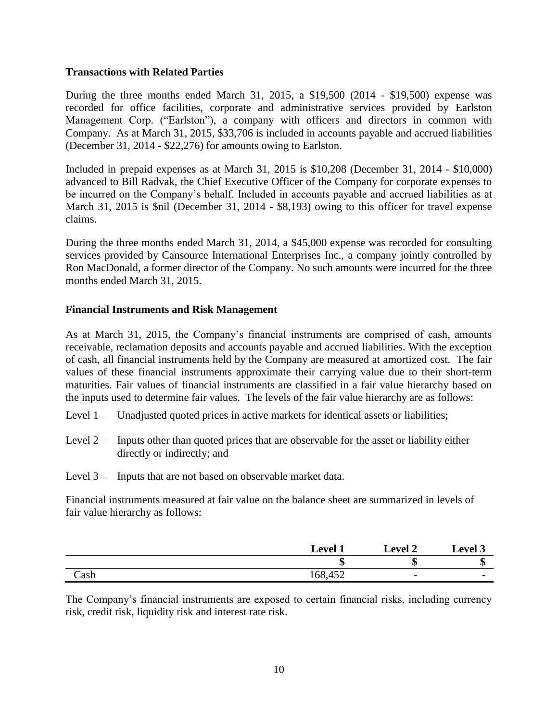#### **Transactions with Related Parties**

During the three months ended March 31, 2015, a \$19,500 (2014 - \$19,500) expense was recorded for office facilities, corporate and administrative services provided by Earlston Management Corp. ("Earlston"), a company with officers and directors in common with Company. As at March 31, 2015, \$33,706 is included in accounts payable and accrued liabilities (December 31, 2014 - \$22,276) for amounts owing to Earlston.

Included in prepaid expenses as at March 31, 2015 is \$10,208 (December 31, 2014 - \$10,000) advanced to Bill Radvak, the Chief Executive Officer of the Company for corporate expenses to be incurred on the Company's behalf. Included in accounts payable and accrued liabilities as at March 31, 2015 is \$nil (December 31, 2014 - \$8,193) owing to this officer for travel expense claims.

During the three months ended March 31, 2014, a \$45,000 expense was recorded for consulting services provided by Cansource International Enterprises Inc., a company jointly controlled by Ron MacDonald, a former director of the Company. No such amounts were incurred for the three months ended March 31, 2015.

#### **Financial Instruments and Risk Management**

As at March 31, 2015, the Company's financial instruments are comprised of cash, amounts receivable, reclamation deposits and accounts payable and accrued liabilities. With the exception of cash, all financial instruments held by the Company are measured at amortized cost. The fair values of these financial instruments approximate their carrying value due to their short-term maturities. Fair values of financial instruments are classified in a fair value hierarchy based on the inputs used to determine fair values. The levels of the fair value hierarchy are as follows:

- Level 1 Unadjusted quoted prices in active markets for identical assets or liabilities;
- Level  $2 -$  Inputs other than quoted prices that are observable for the asset or liability either directly or indirectly; and
- Level 3 Inputs that are not based on observable market data.

Financial instruments measured at fair value on the balance sheet are summarized in levels of fair value hierarchy as follows:

|      | <b>Level</b> | <b>Level 2</b> | Level 3  |
|------|--------------|----------------|----------|
|      | κΩ           | κЮ             | ٬П<br>٨D |
| Cash | 168,452      |                |          |

The Company's financial instruments are exposed to certain financial risks, including currency risk, credit risk, liquidity risk and interest rate risk.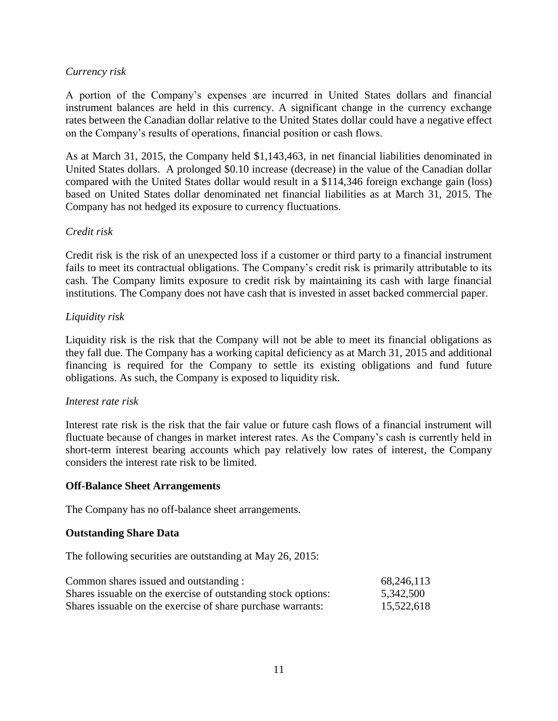#### *Currency risk*

A portion of the Company's expenses are incurred in United States dollars and financial instrument balances are held in this currency. A significant change in the currency exchange rates between the Canadian dollar relative to the United States dollar could have a negative effect on the Company's results of operations, financial position or cash flows.

As at March 31, 2015, the Company held \$1,143,463, in net financial liabilities denominated in United States dollars. A prolonged \$0.10 increase (decrease) in the value of the Canadian dollar compared with the United States dollar would result in a \$114,346 foreign exchange gain (loss) based on United States dollar denominated net financial liabilities as at March 31, 2015. The Company has not hedged its exposure to currency fluctuations.

#### *Credit risk*

Credit risk is the risk of an unexpected loss if a customer or third party to a financial instrument fails to meet its contractual obligations. The Company's credit risk is primarily attributable to its cash. The Company limits exposure to credit risk by maintaining its cash with large financial institutions. The Company does not have cash that is invested in asset backed commercial paper.

#### *Liquidity risk*

Liquidity risk is the risk that the Company will not be able to meet its financial obligations as they fall due. The Company has a working capital deficiency as at March 31, 2015 and additional financing is required for the Company to settle its existing obligations and fund future obligations. As such, the Company is exposed to liquidity risk.

#### *Interest rate risk*

Interest rate risk is the risk that the fair value or future cash flows of a financial instrument will fluctuate because of changes in market interest rates. As the Company's cash is currently held in short-term interest bearing accounts which pay relatively low rates of interest, the Company considers the interest rate risk to be limited.

#### **Off-Balance Sheet Arrangements**

The Company has no off-balance sheet arrangements.

#### **Outstanding Share Data**

The following securities are outstanding at May 26, 2015:

| Common shares issued and outstanding :                         | 68,246,113 |
|----------------------------------------------------------------|------------|
| Shares is suable on the exercise of outstanding stock options: | 5,342,500  |
| Shares is suable on the exercise of share purchase warrants:   | 15,522,618 |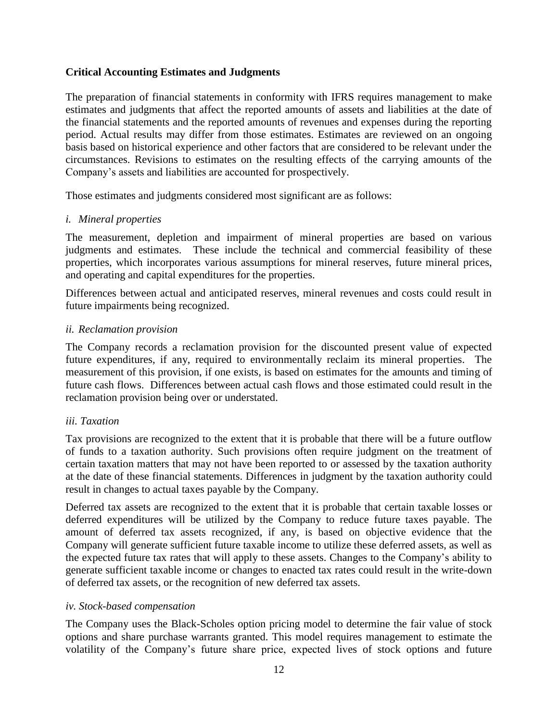#### **Critical Accounting Estimates and Judgments**

The preparation of financial statements in conformity with IFRS requires management to make estimates and judgments that affect the reported amounts of assets and liabilities at the date of the financial statements and the reported amounts of revenues and expenses during the reporting period. Actual results may differ from those estimates. Estimates are reviewed on an ongoing basis based on historical experience and other factors that are considered to be relevant under the circumstances. Revisions to estimates on the resulting effects of the carrying amounts of the Company's assets and liabilities are accounted for prospectively.

Those estimates and judgments considered most significant are as follows:

#### *i. Mineral properties*

The measurement, depletion and impairment of mineral properties are based on various judgments and estimates. These include the technical and commercial feasibility of these properties, which incorporates various assumptions for mineral reserves, future mineral prices, and operating and capital expenditures for the properties.

Differences between actual and anticipated reserves, mineral revenues and costs could result in future impairments being recognized.

#### *ii. Reclamation provision*

The Company records a reclamation provision for the discounted present value of expected future expenditures, if any, required to environmentally reclaim its mineral properties. The measurement of this provision, if one exists, is based on estimates for the amounts and timing of future cash flows. Differences between actual cash flows and those estimated could result in the reclamation provision being over or understated.

## *iii. Taxation*

Tax provisions are recognized to the extent that it is probable that there will be a future outflow of funds to a taxation authority. Such provisions often require judgment on the treatment of certain taxation matters that may not have been reported to or assessed by the taxation authority at the date of these financial statements. Differences in judgment by the taxation authority could result in changes to actual taxes payable by the Company.

Deferred tax assets are recognized to the extent that it is probable that certain taxable losses or deferred expenditures will be utilized by the Company to reduce future taxes payable. The amount of deferred tax assets recognized, if any, is based on objective evidence that the Company will generate sufficient future taxable income to utilize these deferred assets, as well as the expected future tax rates that will apply to these assets. Changes to the Company's ability to generate sufficient taxable income or changes to enacted tax rates could result in the write-down of deferred tax assets, or the recognition of new deferred tax assets.

## *iv. Stock-based compensation*

The Company uses the Black-Scholes option pricing model to determine the fair value of stock options and share purchase warrants granted. This model requires management to estimate the volatility of the Company's future share price, expected lives of stock options and future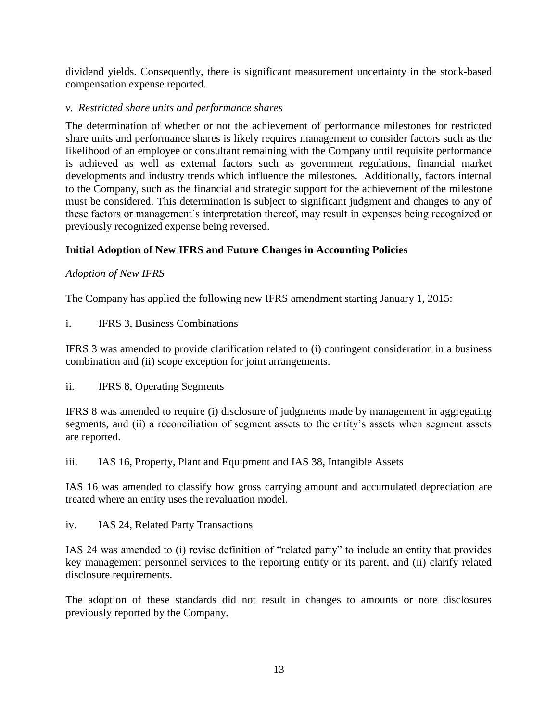dividend yields. Consequently, there is significant measurement uncertainty in the stock-based compensation expense reported.

#### *v. Restricted share units and performance shares*

The determination of whether or not the achievement of performance milestones for restricted share units and performance shares is likely requires management to consider factors such as the likelihood of an employee or consultant remaining with the Company until requisite performance is achieved as well as external factors such as government regulations, financial market developments and industry trends which influence the milestones. Additionally, factors internal to the Company, such as the financial and strategic support for the achievement of the milestone must be considered. This determination is subject to significant judgment and changes to any of these factors or management's interpretation thereof, may result in expenses being recognized or previously recognized expense being reversed.

## **Initial Adoption of New IFRS and Future Changes in Accounting Policies**

## *Adoption of New IFRS*

The Company has applied the following new IFRS amendment starting January 1, 2015:

i. IFRS 3, Business Combinations

IFRS 3 was amended to provide clarification related to (i) contingent consideration in a business combination and (ii) scope exception for joint arrangements.

ii. IFRS 8, Operating Segments

IFRS 8 was amended to require (i) disclosure of judgments made by management in aggregating segments, and (ii) a reconciliation of segment assets to the entity's assets when segment assets are reported.

iii. IAS 16, Property, Plant and Equipment and IAS 38, Intangible Assets

IAS 16 was amended to classify how gross carrying amount and accumulated depreciation are treated where an entity uses the revaluation model.

iv. IAS 24, Related Party Transactions

IAS 24 was amended to (i) revise definition of "related party" to include an entity that provides key management personnel services to the reporting entity or its parent, and (ii) clarify related disclosure requirements.

The adoption of these standards did not result in changes to amounts or note disclosures previously reported by the Company.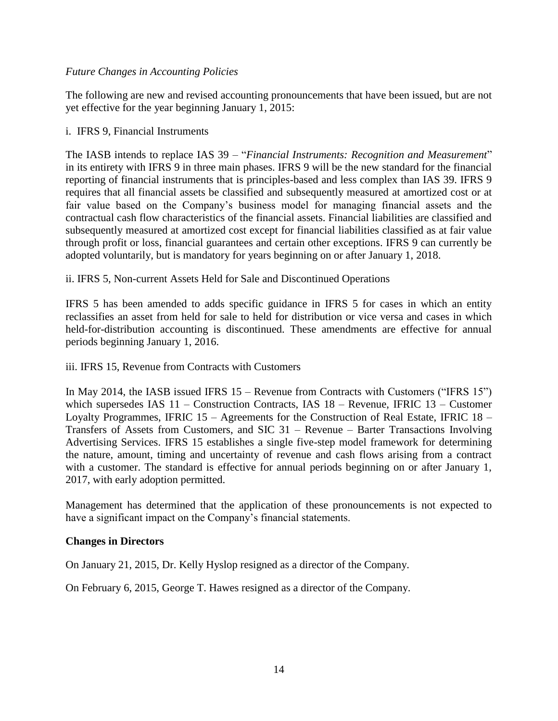#### *Future Changes in Accounting Policies*

The following are new and revised accounting pronouncements that have been issued, but are not yet effective for the year beginning January 1, 2015:

#### i. IFRS 9, Financial Instruments

The IASB intends to replace IAS 39 – "*Financial Instruments: Recognition and Measurement*" in its entirety with IFRS 9 in three main phases. IFRS 9 will be the new standard for the financial reporting of financial instruments that is principles-based and less complex than IAS 39. IFRS 9 requires that all financial assets be classified and subsequently measured at amortized cost or at fair value based on the Company's business model for managing financial assets and the contractual cash flow characteristics of the financial assets. Financial liabilities are classified and subsequently measured at amortized cost except for financial liabilities classified as at fair value through profit or loss, financial guarantees and certain other exceptions. IFRS 9 can currently be adopted voluntarily, but is mandatory for years beginning on or after January 1, 2018.

#### ii. IFRS 5, Non-current Assets Held for Sale and Discontinued Operations

IFRS 5 has been amended to adds specific guidance in IFRS 5 for cases in which an entity reclassifies an asset from held for sale to held for distribution or vice versa and cases in which held-for-distribution accounting is discontinued. These amendments are effective for annual periods beginning January 1, 2016.

#### iii. IFRS 15, Revenue from Contracts with Customers

In May 2014, the IASB issued IFRS 15 – Revenue from Contracts with Customers ("IFRS 15") which supersedes IAS 11 – Construction Contracts, IAS 18 – Revenue, IFRIC 13 – Customer Loyalty Programmes, IFRIC 15 – Agreements for the Construction of Real Estate, IFRIC 18 – Transfers of Assets from Customers, and SIC 31 – Revenue – Barter Transactions Involving Advertising Services. IFRS 15 establishes a single five-step model framework for determining the nature, amount, timing and uncertainty of revenue and cash flows arising from a contract with a customer. The standard is effective for annual periods beginning on or after January 1, 2017, with early adoption permitted.

Management has determined that the application of these pronouncements is not expected to have a significant impact on the Company's financial statements.

#### **Changes in Directors**

On January 21, 2015, Dr. Kelly Hyslop resigned as a director of the Company.

On February 6, 2015, George T. Hawes resigned as a director of the Company.